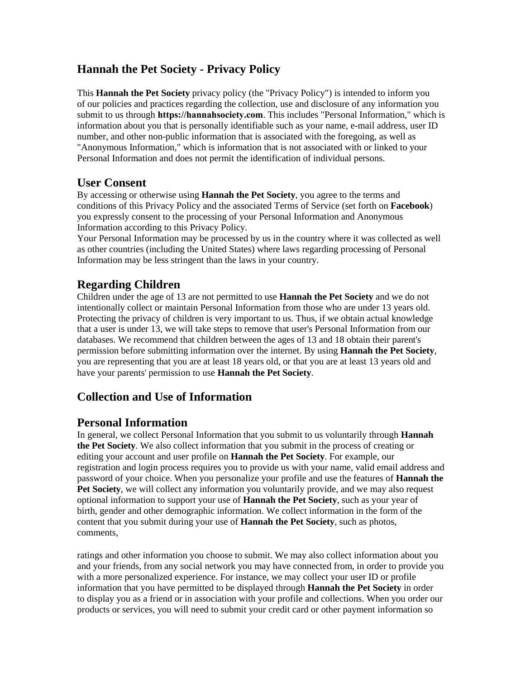## **Hannah the Pet Society - Privacy Policy**

This **Hannah the Pet Society** privacy policy (the "Privacy Policy") is intended to inform you of our policies and practices regarding the collection, use and disclosure of any information you submit to us through **https://hannahsociety.com**. This includes "Personal Information," which is information about you that is personally identifiable such as your name, e-mail address, user ID number, and other non-public information that is associated with the foregoing, as well as "Anonymous Information," which is information that is not associated with or linked to your Personal Information and does not permit the identification of individual persons.

### **User Consent**

By accessing or otherwise using **Hannah the Pet Society**, you agree to the terms and conditions of this Privacy Policy and the associated Terms of Service (set forth on **Facebook**) you expressly consent to the processing of your Personal Information and Anonymous Information according to this Privacy Policy.

Your Personal Information may be processed by us in the country where it was collected as well as other countries (including the United States) where laws regarding processing of Personal Information may be less stringent than the laws in your country.

## **Regarding Children**

Children under the age of 13 are not permitted to use **Hannah the Pet Society** and we do not intentionally collect or maintain Personal Information from those who are under 13 years old. Protecting the privacy of children is very important to us. Thus, if we obtain actual knowledge that a user is under 13, we will take steps to remove that user's Personal Information from our databases. We recommend that children between the ages of 13 and 18 obtain their parent's permission before submitting information over the internet. By using **Hannah the Pet Society**, you are representing that you are at least 18 years old, or that you are at least 13 years old and have your parents' permission to use **Hannah the Pet Society**.

## **Collection and Use of Information**

### **Personal Information**

In general, we collect Personal Information that you submit to us voluntarily through **Hannah the Pet Society**. We also collect information that you submit in the process of creating or editing your account and user profile on **Hannah the Pet Society**. For example, our registration and login process requires you to provide us with your name, valid email address and password of your choice. When you personalize your profile and use the features of **Hannah the Pet Society**, we will collect any information you voluntarily provide, and we may also request optional information to support your use of **Hannah the Pet Society**, such as your year of birth, gender and other demographic information. We collect information in the form of the content that you submit during your use of **Hannah the Pet Society**, such as photos, comments,

ratings and other information you choose to submit. We may also collect information about you and your friends, from any social network you may have connected from, in order to provide you with a more personalized experience. For instance, we may collect your user ID or profile information that you have permitted to be displayed through **Hannah the Pet Society** in order to display you as a friend or in association with your profile and collections. When you order our products or services, you will need to submit your credit card or other payment information so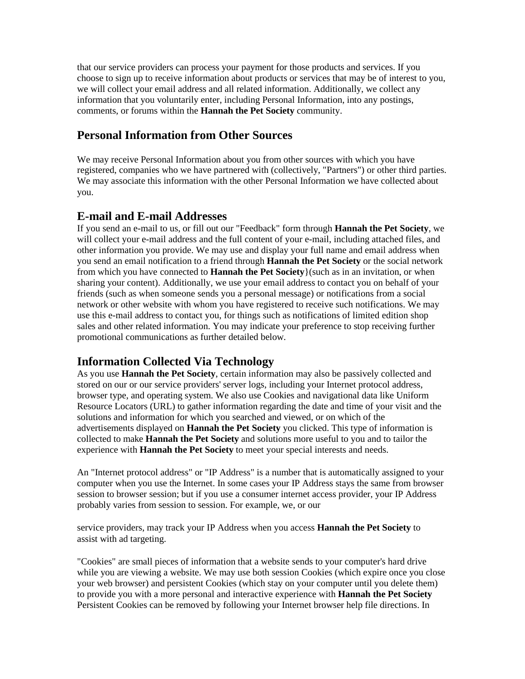that our service providers can process your payment for those products and services. If you choose to sign up to receive information about products or services that may be of interest to you, we will collect your email address and all related information. Additionally, we collect any information that you voluntarily enter, including Personal Information, into any postings, comments, or forums within the **Hannah the Pet Society** community.

### **Personal Information from Other Sources**

We may receive Personal Information about you from other sources with which you have registered, companies who we have partnered with (collectively, "Partners") or other third parties. We may associate this information with the other Personal Information we have collected about you.

#### **E-mail and E-mail Addresses**

If you send an e-mail to us, or fill out our "Feedback" form through **Hannah the Pet Society**, we will collect your e-mail address and the full content of your e-mail, including attached files, and other information you provide. We may use and display your full name and email address when you send an email notification to a friend through **Hannah the Pet Society** or the social network from which you have connected to **Hannah the Pet Society**}(such as in an invitation, or when sharing your content). Additionally, we use your email address to contact you on behalf of your friends (such as when someone sends you a personal message) or notifications from a social network or other website with whom you have registered to receive such notifications. We may use this e-mail address to contact you, for things such as notifications of limited edition shop sales and other related information. You may indicate your preference to stop receiving further promotional communications as further detailed below.

### **Information Collected Via Technology**

As you use **Hannah the Pet Society**, certain information may also be passively collected and stored on our or our service providers' server logs, including your Internet protocol address, browser type, and operating system. We also use Cookies and navigational data like Uniform Resource Locators (URL) to gather information regarding the date and time of your visit and the solutions and information for which you searched and viewed, or on which of the advertisements displayed on **Hannah the Pet Society** you clicked. This type of information is collected to make **Hannah the Pet Society** and solutions more useful to you and to tailor the experience with **Hannah the Pet Society** to meet your special interests and needs.

An "Internet protocol address" or "IP Address" is a number that is automatically assigned to your computer when you use the Internet. In some cases your IP Address stays the same from browser session to browser session; but if you use a consumer internet access provider, your IP Address probably varies from session to session. For example, we, or our

service providers, may track your IP Address when you access **Hannah the Pet Society** to assist with ad targeting.

"Cookies" are small pieces of information that a website sends to your computer's hard drive while you are viewing a website. We may use both session Cookies (which expire once you close your web browser) and persistent Cookies (which stay on your computer until you delete them) to provide you with a more personal and interactive experience with **Hannah the Pet Society** Persistent Cookies can be removed by following your Internet browser help file directions. In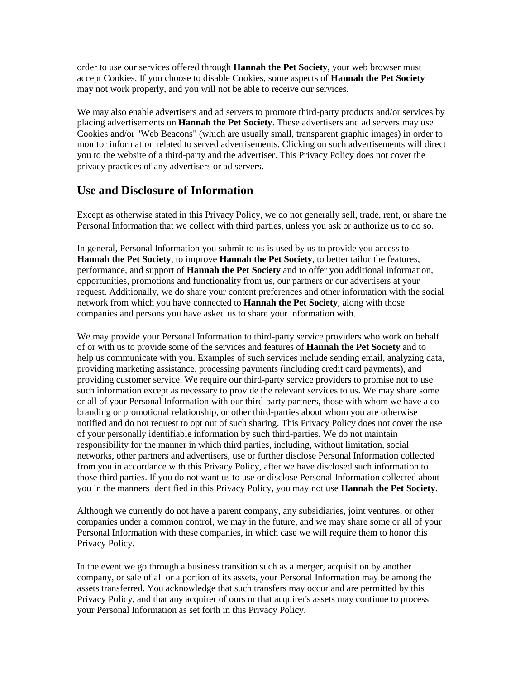order to use our services offered through **Hannah the Pet Society**, your web browser must accept Cookies. If you choose to disable Cookies, some aspects of **Hannah the Pet Society** may not work properly, and you will not be able to receive our services.

We may also enable advertisers and ad servers to promote third-party products and/or services by placing advertisements on **Hannah the Pet Society**. These advertisers and ad servers may use Cookies and/or "Web Beacons" (which are usually small, transparent graphic images) in order to monitor information related to served advertisements. Clicking on such advertisements will direct you to the website of a third-party and the advertiser. This Privacy Policy does not cover the privacy practices of any advertisers or ad servers.

### **Use and Disclosure of Information**

Except as otherwise stated in this Privacy Policy, we do not generally sell, trade, rent, or share the Personal Information that we collect with third parties, unless you ask or authorize us to do so.

In general, Personal Information you submit to us is used by us to provide you access to **Hannah the Pet Society**, to improve **Hannah the Pet Society**, to better tailor the features, performance, and support of **Hannah the Pet Society** and to offer you additional information, opportunities, promotions and functionality from us, our partners or our advertisers at your request. Additionally, we do share your content preferences and other information with the social network from which you have connected to **Hannah the Pet Society**, along with those companies and persons you have asked us to share your information with.

We may provide your Personal Information to third-party service providers who work on behalf of or with us to provide some of the services and features of **Hannah the Pet Society** and to help us communicate with you. Examples of such services include sending email, analyzing data, providing marketing assistance, processing payments (including credit card payments), and providing customer service. We require our third-party service providers to promise not to use such information except as necessary to provide the relevant services to us. We may share some or all of your Personal Information with our third-party partners, those with whom we have a cobranding or promotional relationship, or other third-parties about whom you are otherwise notified and do not request to opt out of such sharing. This Privacy Policy does not cover the use of your personally identifiable information by such third-parties. We do not maintain responsibility for the manner in which third parties, including, without limitation, social networks, other partners and advertisers, use or further disclose Personal Information collected from you in accordance with this Privacy Policy, after we have disclosed such information to those third parties. If you do not want us to use or disclose Personal Information collected about you in the manners identified in this Privacy Policy, you may not use **Hannah the Pet Society**.

Although we currently do not have a parent company, any subsidiaries, joint ventures, or other companies under a common control, we may in the future, and we may share some or all of your Personal Information with these companies, in which case we will require them to honor this Privacy Policy.

In the event we go through a business transition such as a merger, acquisition by another company, or sale of all or a portion of its assets, your Personal Information may be among the assets transferred. You acknowledge that such transfers may occur and are permitted by this Privacy Policy, and that any acquirer of ours or that acquirer's assets may continue to process your Personal Information as set forth in this Privacy Policy.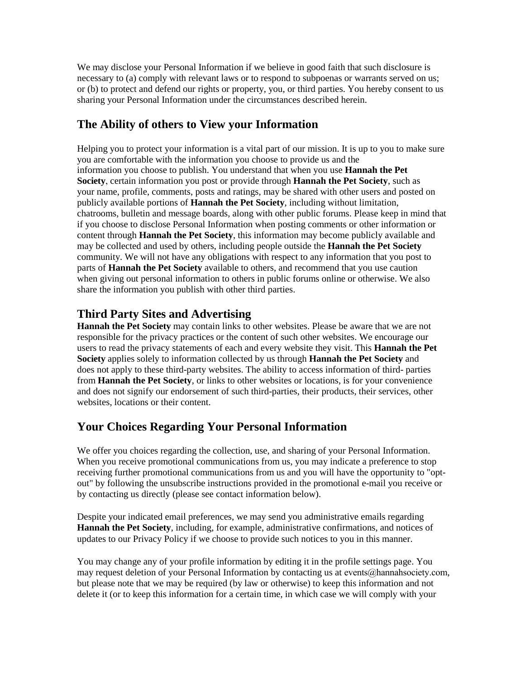We may disclose your Personal Information if we believe in good faith that such disclosure is necessary to (a) comply with relevant laws or to respond to subpoenas or warrants served on us; or (b) to protect and defend our rights or property, you, or third parties. You hereby consent to us sharing your Personal Information under the circumstances described herein.

## **The Ability of others to View your Information**

Helping you to protect your information is a vital part of our mission. It is up to you to make sure you are comfortable with the information you choose to provide us and the information you choose to publish. You understand that when you use **Hannah the Pet Society**, certain information you post or provide through **Hannah the Pet Society**, such as your name, profile, comments, posts and ratings, may be shared with other users and posted on publicly available portions of **Hannah the Pet Society**, including without limitation, chatrooms, bulletin and message boards, along with other public forums. Please keep in mind that if you choose to disclose Personal Information when posting comments or other information or content through **Hannah the Pet Society**, this information may become publicly available and may be collected and used by others, including people outside the **Hannah the Pet Society** community. We will not have any obligations with respect to any information that you post to parts of **Hannah the Pet Society** available to others, and recommend that you use caution when giving out personal information to others in public forums online or otherwise. We also share the information you publish with other third parties.

### **Third Party Sites and Advertising**

**Hannah the Pet Society** may contain links to other websites. Please be aware that we are not responsible for the privacy practices or the content of such other websites. We encourage our users to read the privacy statements of each and every website they visit. This **Hannah the Pet Society** applies solely to information collected by us through **Hannah the Pet Society** and does not apply to these third-party websites. The ability to access information of third- parties from **Hannah the Pet Society**, or links to other websites or locations, is for your convenience and does not signify our endorsement of such third-parties, their products, their services, other websites, locations or their content.

## **Your Choices Regarding Your Personal Information**

We offer you choices regarding the collection, use, and sharing of your Personal Information. When you receive promotional communications from us, you may indicate a preference to stop receiving further promotional communications from us and you will have the opportunity to "optout" by following the unsubscribe instructions provided in the promotional e-mail you receive or by contacting us directly (please see contact information below).

Despite your indicated email preferences, we may send you administrative emails regarding **Hannah the Pet Society**, including, for example, administrative confirmations, and notices of updates to our Privacy Policy if we choose to provide such notices to you in this manner.

You may change any of your profile information by editing it in the profile settings page. You may request deletion of your Personal Information by contacting us at events@hannahsociety.com, but please note that we may be required (by law or otherwise) to keep this information and not delete it (or to keep this information for a certain time, in which case we will comply with your